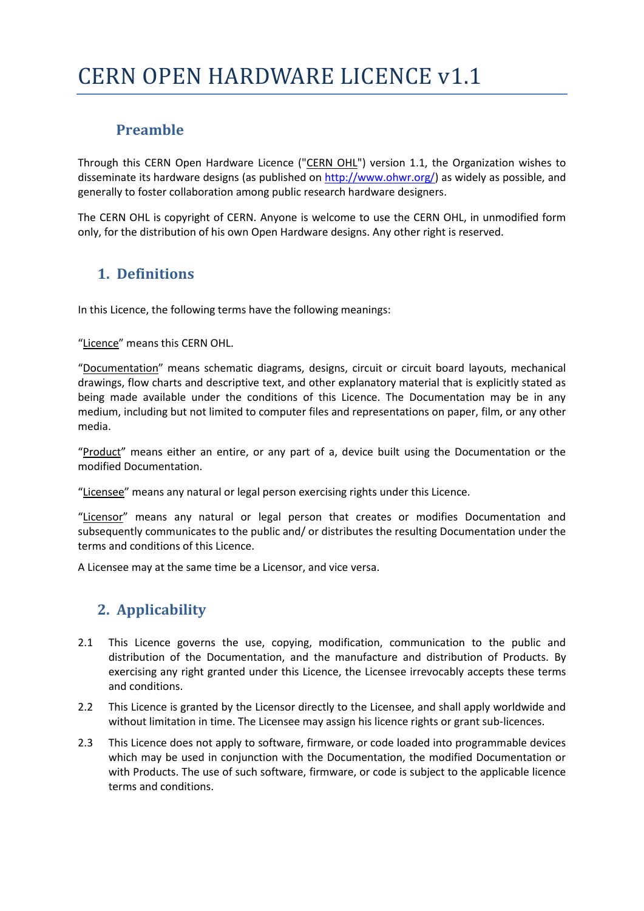### **Preamble**

Through this CERN Open Hardware Licence ("CERN OHL") version 1.1, the Organization wishes to disseminate its hardware designs (as published on  $\frac{http://www.ohwr.org/}{http://www.ohwr.org/})$  as widely as possible, and generally to foster collaboration among public research hardware designers.

The CERN OHL is copyright of CERN. Anyone is welcome to use the CERN OHL, in unmodified form only, for the distribution of his own Open Hardware designs. Any other right is reserved.

### **1. Definitions**

In this Licence, the following terms have the following meanings:

"Licence" means this CERN OHL.

"Documentation" means schematic diagrams, designs, circuit or circuit board layouts, mechanical drawings, flow charts and descriptive text, and other explanatory material that is explicitly stated as being made available under the conditions of this Licence. The Documentation may be in any medium, including but not limited to computer files and representations on paper, film, or any other media.

"Product" means either an entire, or any part of a, device built using the Documentation or the modified Documentation.

"Licensee" means any natural or legal person exercising rights under this Licence.

"Licensor" means any natural or legal person that creates or modifies Documentation and subsequently communicates to the public and/ or distributes the resulting Documentation under the terms and conditions of this Licence.

A Licensee may at the same time be a Licensor, and vice versa.

## **2. Applicability**

- 2.1 This Licence governs the use, copying, modification, communication to the public and distribution of the Documentation, and the manufacture and distribution of Products. By exercising any right granted under this Licence, the Licensee irrevocably accepts these terms and conditions.
- 2.2 This Licence is granted by the Licensor directly to the Licensee, and shall apply worldwide and without limitation in time. The Licensee may assign his licence rights or grant sub-licences.
- 2.3 This Licence does not apply to software, firmware, or code loaded into programmable devices which may be used in conjunction with the Documentation, the modified Documentation or with Products. The use of such software, firmware, or code is subject to the applicable licence terms and conditions.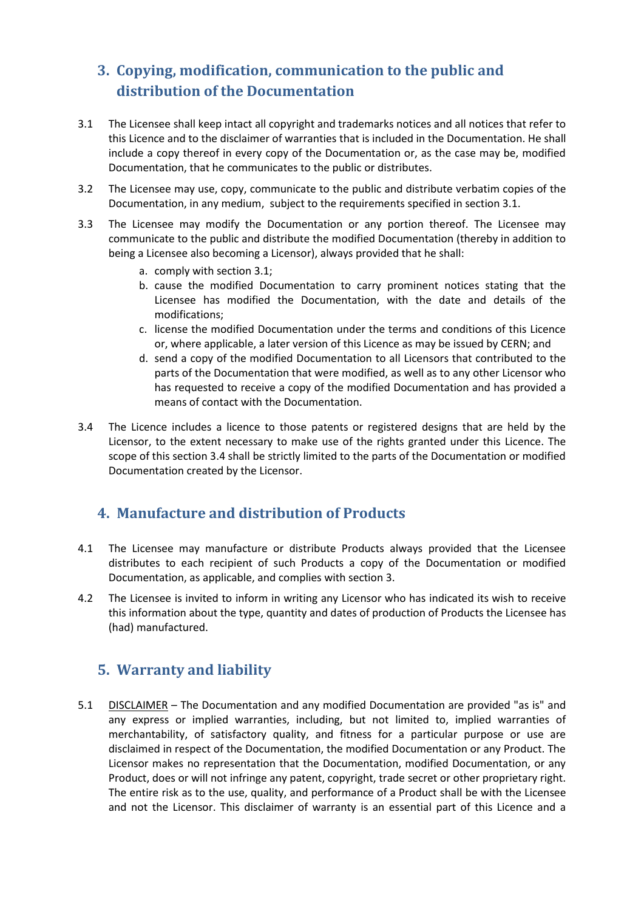# **3. Copying, modification, communication to the public and distribution of the Documentation**

- 3.1 The Licensee shall keep intact all copyright and trademarks notices and all notices that refer to this Licence and to the disclaimer of warranties that is included in the Documentation. He shall include a copy thereof in every copy of the Documentation or, as the case may be, modified Documentation, that he communicates to the public or distributes.
- 3.2 The Licensee may use, copy, communicate to the public and distribute verbatim copies of the Documentation, in any medium, subject to the requirements specified in section 3.1.
- 3.3 The Licensee may modify the Documentation or any portion thereof. The Licensee may communicate to the public and distribute the modified Documentation (thereby in addition to being a Licensee also becoming a Licensor), always provided that he shall:
	- a. comply with section 3.1;
	- b. cause the modified Documentation to carry prominent notices stating that the Licensee has modified the Documentation, with the date and details of the modifications;
	- c. license the modified Documentation under the terms and conditions of this Licence or, where applicable, a later version of this Licence as may be issued by CERN; and
	- d. send a copy of the modified Documentation to all Licensors that contributed to the parts of the Documentation that were modified, as well as to any other Licensor who has requested to receive a copy of the modified Documentation and has provided a means of contact with the Documentation.
- 3.4 The Licence includes a licence to those patents or registered designs that are held by the Licensor, to the extent necessary to make use of the rights granted under this Licence. The scope of this section 3.4 shall be strictly limited to the parts of the Documentation or modified Documentation created by the Licensor.

### **4. Manufacture and distribution of Products**

- 4.1 The Licensee may manufacture or distribute Products always provided that the Licensee distributes to each recipient of such Products a copy of the Documentation or modified Documentation, as applicable, and complies with section 3.
- 4.2 The Licensee is invited to inform in writing any Licensor who has indicated its wish to receive this information about the type, quantity and dates of production of Products the Licensee has (had) manufactured.

#### **5. Warranty and liability**

5.1 DISCLAIMER – The Documentation and any modified Documentation are provided "as is" and any express or implied warranties, including, but not limited to, implied warranties of merchantability, of satisfactory quality, and fitness for a particular purpose or use are disclaimed in respect of the Documentation, the modified Documentation or any Product. The Licensor makes no representation that the Documentation, modified Documentation, or any Product, does or will not infringe any patent, copyright, trade secret or other proprietary right. The entire risk as to the use, quality, and performance of a Product shall be with the Licensee and not the Licensor. This disclaimer of warranty is an essential part of this Licence and a